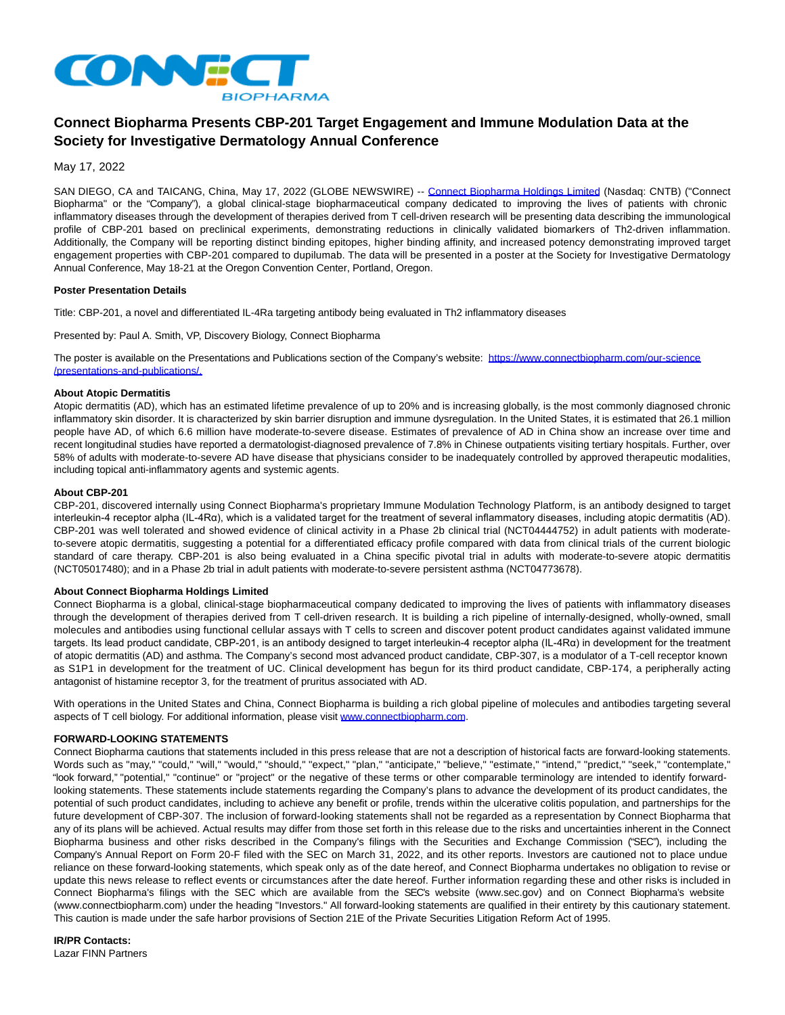

# **Connect Biopharma Presents CBP-201 Target Engagement and Immune Modulation Data at the Society for Investigative Dermatology Annual Conference**

May 17, 2022

SAN DIEGO, CA and TAICANG, China, May 17, 2022 (GLOBE NEWSWIRE) -- [Connect Biopharma Holdings Limited](https://www.globenewswire.com/Tracker?data=9RMkMVBKK6cPge55eVfIJBw-rffvfhNSqqbZcMopxfvGbfx2pJqQCy2Q0eb3VAHOTlCkA5YXGwGR9zxcAmXS8G2gmLP11HcFCGUgxJmx5EUXdD4dHrEjhM5YZ2l3C6--) (Nasdaq: CNTB) ("Connect Biopharma" or the "Company"), a global clinical-stage biopharmaceutical company dedicated to improving the lives of patients with chronic inflammatory diseases through the development of therapies derived from T cell-driven research will be presenting data describing the immunological profile of CBP-201 based on preclinical experiments, demonstrating reductions in clinically validated biomarkers of Th2-driven inflammation. Additionally, the Company will be reporting distinct binding epitopes, higher binding affinity, and increased potency demonstrating improved target engagement properties with CBP-201 compared to dupilumab. The data will be presented in a poster at the Society for Investigative Dermatology Annual Conference, May 18-21 at the Oregon Convention Center, Portland, Oregon.

## **Poster Presentation Details**

Title: CBP-201, a novel and differentiated IL-4Ra targeting antibody being evaluated in Th2 inflammatory diseases

Presented by: Paul A. Smith, VP, Discovery Biology, Connect Biopharma

The poster is available on the Presentations and Publications section of the Company's website: [https://www.connectbiopharm.com/our-science](https://www.globenewswire.com/Tracker?data=XPnnNSPfqqIVxKkPyu1R4xGsLxWbJCqvBtc-X-xWe2q-0bPubKMpraFT1f6qbcVDn3264dYecjv1kUDJmWe8ipptJvMI44m-V_2iukPLWr0s6Ik-Xf9k8cjex_nDmm40agPLlmkdHPm4_H3RARSNOIie3GIJO4rlJtkQrjT13B-baiyNEIt5hZwOu-eR02xv9TJxuRVpf6ImgWZFsR97O4tvhe-pC4eDrsMu-Qssej8=) /presentations-and-publications/.

## **About Atopic Dermatitis**

Atopic dermatitis (AD), which has an estimated lifetime prevalence of up to 20% and is increasing globally, is the most commonly diagnosed chronic inflammatory skin disorder. It is characterized by skin barrier disruption and immune dysregulation. In the United States, it is estimated that 26.1 million people have AD, of which 6.6 million have moderate-to-severe disease. Estimates of prevalence of AD in China show an increase over time and recent longitudinal studies have reported a dermatologist-diagnosed prevalence of 7.8% in Chinese outpatients visiting tertiary hospitals. Further, over 58% of adults with moderate-to-severe AD have disease that physicians consider to be inadequately controlled by approved therapeutic modalities, including topical anti-inflammatory agents and systemic agents.

### **About CBP-201**

CBP-201, discovered internally using Connect Biopharma's proprietary Immune Modulation Technology Platform, is an antibody designed to target interleukin-4 receptor alpha (IL-4Rα), which is a validated target for the treatment of several inflammatory diseases, including atopic dermatitis (AD). CBP-201 was well tolerated and showed evidence of clinical activity in a Phase 2b clinical trial (NCT04444752) in adult patients with moderateto-severe atopic dermatitis, suggesting a potential for a differentiated efficacy profile compared with data from clinical trials of the current biologic standard of care therapy. CBP-201 is also being evaluated in a China specific pivotal trial in adults with moderate-to-severe atopic dermatitis (NCT05017480); and in a Phase 2b trial in adult patients with moderate-to-severe persistent asthma (NCT04773678).

#### **About Connect Biopharma Holdings Limited**

Connect Biopharma is a global, clinical-stage biopharmaceutical company dedicated to improving the lives of patients with inflammatory diseases through the development of therapies derived from T cell-driven research. It is building a rich pipeline of internally-designed, wholly-owned, small molecules and antibodies using functional cellular assays with T cells to screen and discover potent product candidates against validated immune targets. Its lead product candidate, CBP-201, is an antibody designed to target interleukin-4 receptor alpha (IL-4Rα) in development for the treatment of atopic dermatitis (AD) and asthma. The Company's second most advanced product candidate, CBP-307, is a modulator of a T-cell receptor known as S1P1 in development for the treatment of UC. Clinical development has begun for its third product candidate, CBP-174, a peripherally acting antagonist of histamine receptor 3, for the treatment of pruritus associated with AD.

With operations in the United States and China, Connect Biopharma is building a rich global pipeline of molecules and antibodies targeting several aspects of T cell biology. For additional information, please visit [www.connectbiopharm.com.](https://www.globenewswire.com/Tracker?data=goeA5Z_yl6uEEtsw5X2l-7x2ZoOdZXjwmZ0zEIsOkrIpWWmuUyv1fwP3-vklMIEgKlVs6-Emb430x2URy6PwvOsddKknK1-kcDOS8FXmjTQ=) 

## **FORWARD-LOOKING STATEMENTS**

Connect Biopharma cautions that statements included in this press release that are not a description of historical facts are forward-looking statements. Words such as "may," "could," "will," "would," "should," "expect," "plan," "anticipate," "believe," "estimate," "intend," "predict," "seek," "contemplate," "look forward," "potential," "continue" or "project" or the negative of these terms or other comparable terminology are intended to identify forwardlooking statements. These statements include statements regarding the Company's plans to advance the development of its product candidates, the potential of such product candidates, including to achieve any benefit or profile, trends within the ulcerative colitis population, and partnerships for the future development of CBP-307. The inclusion of forward-looking statements shall not be regarded as a representation by Connect Biopharma that any of its plans will be achieved. Actual results may differ from those set forth in this release due to the risks and uncertainties inherent in the Connect Biopharma business and other risks described in the Company's filings with the Securities and Exchange Commission ("SEC"), including the Company's Annual Report on Form 20-F filed with the SEC on March 31, 2022, and its other reports. Investors are cautioned not to place undue reliance on these forward-looking statements, which speak only as of the date hereof, and Connect Biopharma undertakes no obligation to revise or update this news release to reflect events or circumstances after the date hereof. Further information regarding these and other risks is included in Connect Biopharma's filings with the SEC which are available from the SEC's website (www.sec.gov) and on Connect Biopharma's website (www.connectbiopharm.com) under the heading "Investors." All forward-looking statements are qualified in their entirety by this cautionary statement. This caution is made under the safe harbor provisions of Section 21E of the Private Securities Litigation Reform Act of 1995.

## **IR/PR Contacts:**

Lazar FINN Partners